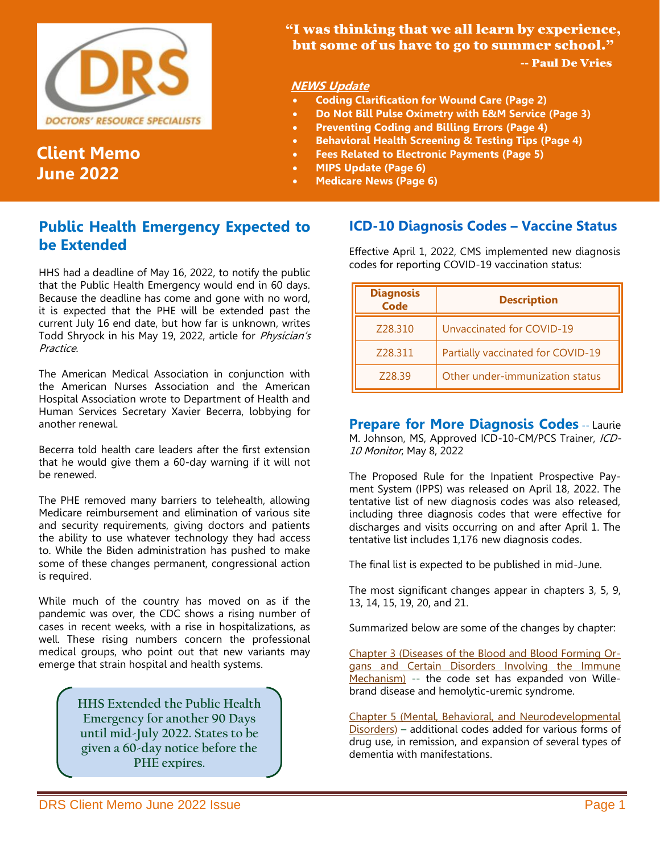

# **Client Memo June 2022**

### "I was thinking that we all learn by experience, but some of us have to go to summer school." -- Paul De Vries

### **NEWS Update**

- **Coding Clarification for Wound Care (Page 2)**
- **Do Not Bill Pulse Oximetry with E&M Service (Page 3)**
- **Preventing Coding and Billing Errors (Page 4)**
- **Behavioral Health Screening & Testing Tips (Page 4)**
- **Fees Related to Electronic Payments (Page 5)**
- **MIPS Update (Page 6)**
- **Medicare News (Page 6)**

## **Public Health Emergency Expected to be Extended**

HHS had a deadline of May 16, 2022, to notify the public that the Public Health Emergency would end in 60 days. Because the deadline has come and gone with no word, it is expected that the PHE will be extended past the current July 16 end date, but how far is unknown, writes Todd Shryock in his May 19, 2022, article for Physician's Practice.

The American Medical Association in conjunction with the American Nurses Association and the American Hospital Association wrote to Department of Health and Human Services Secretary Xavier Becerra, lobbying for another renewal.

Becerra told health care leaders after the first extension that he would give them a 60-day warning if it will not be renewed.

The PHE removed many barriers to telehealth, allowing Medicare reimbursement and elimination of various site and security requirements, giving doctors and patients the ability to use whatever technology they had access to. While the Biden administration has pushed to make some of these changes permanent, congressional action is required.

While much of the country has moved on as if the pandemic was over, the CDC shows a rising number of cases in recent weeks, with a rise in hospitalizations, as well. These rising numbers concern the professional medical groups, who point out that new variants may emerge that strain hospital and health systems.

> **HHS Extended the Public Health Emergency for another 90 Days until mid-July 2022. States to be given a 60-day notice before the PHE expires.**

### **ICD-10 Diagnosis Codes – Vaccine Status**

Effective April 1, 2022, CMS implemented new diagnosis codes for reporting COVID-19 vaccination status:

| <b>Diagnosis</b><br>Code | <b>Description</b>                |
|--------------------------|-----------------------------------|
| Z28.310                  | Unvaccinated for COVID-19         |
| Z28.311                  | Partially vaccinated for COVID-19 |
| Z28.39                   | Other under-immunization status   |

**Prepare for More Diagnosis Codes** -- Laurie M. Johnson, MS, Approved ICD-10-CM/PCS Trainer, ICD-10 Monitor, May 8, 2022

The Proposed Rule for the Inpatient Prospective Payment System (IPPS) was released on April 18, 2022. The tentative list of new diagnosis codes was also released, including three diagnosis codes that were effective for discharges and visits occurring on and after April 1. The tentative list includes 1,176 new diagnosis codes.

The final list is expected to be published in mid-June.

The most significant changes appear in chapters 3, 5, 9, 13, 14, 15, 19, 20, and 21.

Summarized below are some of the changes by chapter:

Chapter 3 (Diseases of the Blood and Blood Forming Organs and Certain Disorders Involving the Immune Mechanism) -- the code set has expanded von Willebrand disease and hemolytic-uremic syndrome.

Chapter 5 (Mental, Behavioral, and Neurodevelopmental Disorders) – additional codes added for various forms of drug use, in remission, and expansion of several types of dementia with manifestations.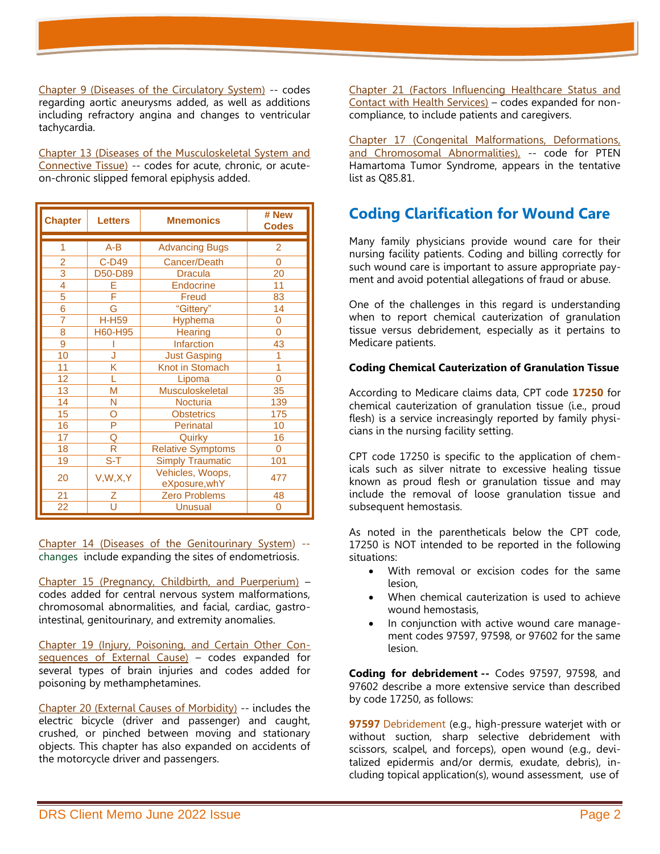Chapter 9 (Diseases of the Circulatory System) -- codes regarding aortic aneurysms added, as well as additions including refractory angina and changes to ventricular tachycardia.

Chapter 13 (Diseases of the Musculoskeletal System and Connective Tissue) -- codes for acute, chronic, or acuteon-chronic slipped femoral epiphysis added.

| <b>Chapter</b>            | <b>Letters</b>             | <b>Mnemonics</b>                  | # New<br><b>Codes</b> |
|---------------------------|----------------------------|-----------------------------------|-----------------------|
| 1                         | $A-B$                      | <b>Advancing Bugs</b>             | 2                     |
| $\overline{2}$            | C-D49                      | Cancer/Death                      | $\Omega$              |
| $\overline{\overline{3}}$ | D50-D89                    | <b>Dracula</b>                    | 20                    |
| 4                         | E                          | <b>Endocrine</b>                  | 11                    |
| $\overline{5}$            | Ë                          | Freud                             | 83                    |
| 6                         | G                          | "Gittery"                         | 14                    |
| 7                         | <b>H-H59</b>               | <b>Hyphema</b>                    | 0                     |
| 8                         | H60-H95                    | Hearing                           | $\Omega$              |
| 9                         |                            | Infarction                        | 43                    |
| 10                        | J                          | <b>Just Gasping</b>               |                       |
| 11                        | Κ                          | Knot in Stomach                   | 1                     |
| 12                        | L                          | Lipoma                            | $\overline{0}$        |
| 13                        | M                          | <b>Musculoskeletal</b>            | 35                    |
| 14                        | N                          | <b>Nocturia</b>                   | 139                   |
| 15                        | O                          | <b>Obstetrics</b>                 | 175                   |
| 16                        | P                          | Perinatal                         | 10                    |
| 17                        | Q                          | Quirky                            | 16                    |
| 18                        | R                          | <b>Relative Symptoms</b>          | $\Omega$              |
| 19                        | $\overline{\mathsf{S}}$ -T | <b>Simply Traumatic</b>           | 101                   |
| 20                        | V, W, X, Y                 | Vehicles, Woops,<br>eXposure, whY | 477                   |
| 21                        | Z                          | <b>Zero Problems</b>              | 48                    |
| 22                        | Ū                          | <b>Unusual</b>                    | 0                     |

Chapter 14 (Diseases of the Genitourinary System) - changes include expanding the sites of endometriosis.

Chapter 15 (Pregnancy, Childbirth, and Puerperium) – codes added for central nervous system malformations, chromosomal abnormalities, and facial, cardiac, gastrointestinal, genitourinary, and extremity anomalies.

Chapter 19 (Injury, Poisoning, and Certain Other Consequences of External Cause) – codes expanded for several types of brain injuries and codes added for poisoning by methamphetamines.

Chapter 20 (External Causes of Morbidity) -- includes the electric bicycle (driver and passenger) and caught, crushed, or pinched between moving and stationary objects. This chapter has also expanded on accidents of the motorcycle driver and passengers.

Chapter 21 (Factors Influencing Healthcare Status and Contact with Health Services) – codes expanded for noncompliance, to include patients and caregivers.

Chapter 17 (Congenital Malformations, Deformations, and Chromosomal Abnormalities), -- code for PTEN Hamartoma Tumor Syndrome, appears in the tentative list as Q85.81.

# **Coding Clarification for Wound Care**

Many family physicians provide wound care for their nursing facility patients. Coding and billing correctly for such wound care is important to assure appropriate payment and avoid potential allegations of fraud or abuse.

One of the challenges in this regard is understanding when to report chemical cauterization of granulation tissue versus debridement, especially as it pertains to Medicare patients.

#### **Coding Chemical Cauterization of Granulation Tissue**

According to Medicare claims data, CPT code **17250** for chemical cauterization of granulation tissue (i.e., proud flesh) is a service increasingly reported by family physicians in the nursing facility setting.

CPT code 17250 is specific to the application of chemicals such as silver nitrate to excessive healing tissue known as proud flesh or granulation tissue and may include the removal of loose granulation tissue and subsequent hemostasis.

As noted in the parentheticals below the CPT code, 17250 is NOT intended to be reported in the following situations:

- With removal or excision codes for the same lesion,
- When chemical cauterization is used to achieve wound hemostasis,
- In conjunction with active wound care management codes 97597, 97598, or 97602 for the same lesion.

**Coding for debridement --** Codes 97597, 97598, and 97602 describe a more extensive service than described by code 17250, as follows:

**97597** Debridement (e.g., high-pressure waterjet with or without suction, sharp selective debridement with scissors, scalpel, and forceps), open wound (e.g., devitalized epidermis and/or dermis, exudate, debris), including topical application(s), wound assessment, use of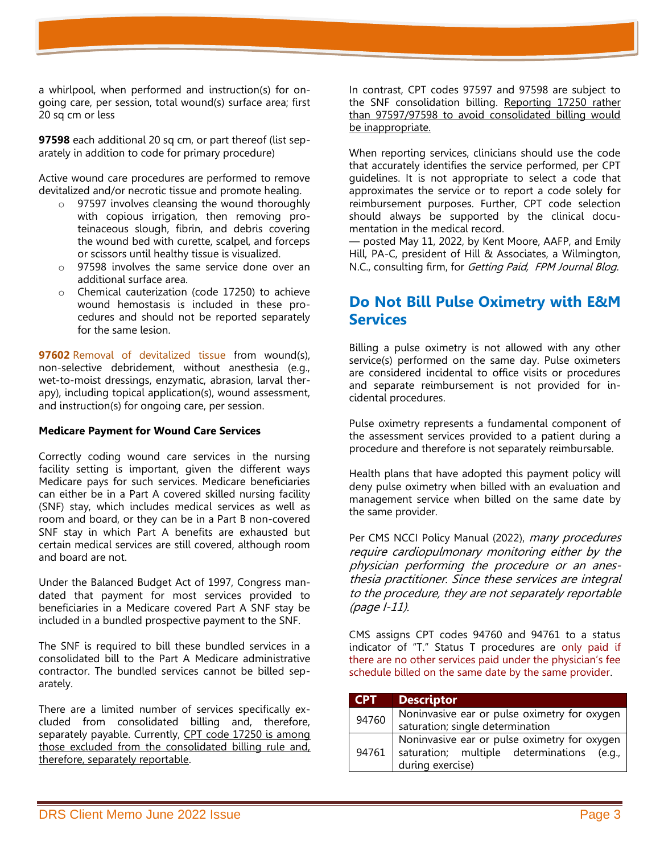a whirlpool, when performed and instruction(s) for ongoing care, per session, total wound(s) surface area; first 20 sq cm or less

**97598** each additional 20 sq cm, or part thereof (list separately in addition to code for primary procedure)

Active wound care procedures are performed to remove devitalized and/or necrotic tissue and promote healing.

- o 97597 involves cleansing the wound thoroughly with copious irrigation, then removing proteinaceous slough, fibrin, and debris covering the wound bed with curette, scalpel, and forceps or scissors until healthy tissue is visualized.
- o 97598 involves the same service done over an additional surface area.
- o Chemical cauterization (code 17250) to achieve wound hemostasis is included in these procedures and should not be reported separately for the same lesion.

**97602** Removal of devitalized tissue from wound(s), non-selective debridement, without anesthesia (e.g., wet-to-moist dressings, enzymatic, abrasion, larval therapy), including topical application(s), wound assessment, and instruction(s) for ongoing care, per session.

#### **Medicare Payment for Wound Care Services**

Correctly coding wound care services in the nursing facility setting is important, given the different ways Medicare pays for such services. Medicare beneficiaries can either be in a Part A covered skilled nursing facility (SNF) stay, which includes medical services as well as room and board, or they can be in a Part B non-covered SNF stay in which Part A benefits are exhausted but certain medical services are still covered, although room and board are not.

Under the Balanced Budget Act of 1997, Congress mandated that payment for most services provided to beneficiaries in a Medicare covered Part A SNF stay be included in a bundled prospective payment to the SNF.

The SNF is required to bill these bundled services in a consolidated bill to the Part A Medicare administrative contractor. The bundled services cannot be billed separately.

There are a limited number of services specifically excluded from consolidated billing and, therefore, separately payable. Currently, CPT code 17250 is among those excluded from the consolidated billing rule and, therefore, separately reportable.

In contrast, CPT codes 97597 and 97598 are subject to the SNF consolidation billing. Reporting 17250 rather than 97597/97598 to avoid consolidated billing would be inappropriate.

When reporting services, clinicians should use the code that accurately identifies the service performed, per CPT guidelines. It is not appropriate to select a code that approximates the service or to report a code solely for reimbursement purposes. Further, CPT code selection should always be supported by the clinical documentation in the medical record.

— posted May 11, 2022, by Kent Moore, AAFP, and Emily Hill, PA-C, president of Hill & Associates, a Wilmington, N.C., consulting firm, for Getting Paid, FPM Journal Blog.

# **Do Not Bill Pulse Oximetry with E&M Services**

Billing a pulse oximetry is not allowed with any other service(s) performed on the same day. Pulse oximeters are considered incidental to office visits or procedures and separate reimbursement is not provided for incidental procedures.

Pulse oximetry represents a fundamental component of the assessment services provided to a patient during a procedure and therefore is not separately reimbursable.

Health plans that have adopted this payment policy will deny pulse oximetry when billed with an evaluation and management service when billed on the same date by the same provider.

Per CMS NCCI Policy Manual (2022), many procedures require cardiopulmonary monitoring either by the physician performing the procedure or an anesthesia practitioner. Since these services are integral to the procedure, they are not separately reportable (page I-11).

CMS assigns CPT codes 94760 and 94761 to a status indicator of "T." Status T procedures are only paid if there are no other services paid under the physician's fee schedule billed on the same date by the same provider.

| <b>CPT</b> | <b>Descriptor</b>                                                                                              |
|------------|----------------------------------------------------------------------------------------------------------------|
| 94760      | Noninvasive ear or pulse oximetry for oxygen<br>saturation; single determination                               |
| 94761      | Noninvasive ear or pulse oximetry for oxygen<br>saturation; multiple determinations (e.g.,<br>during exercise) |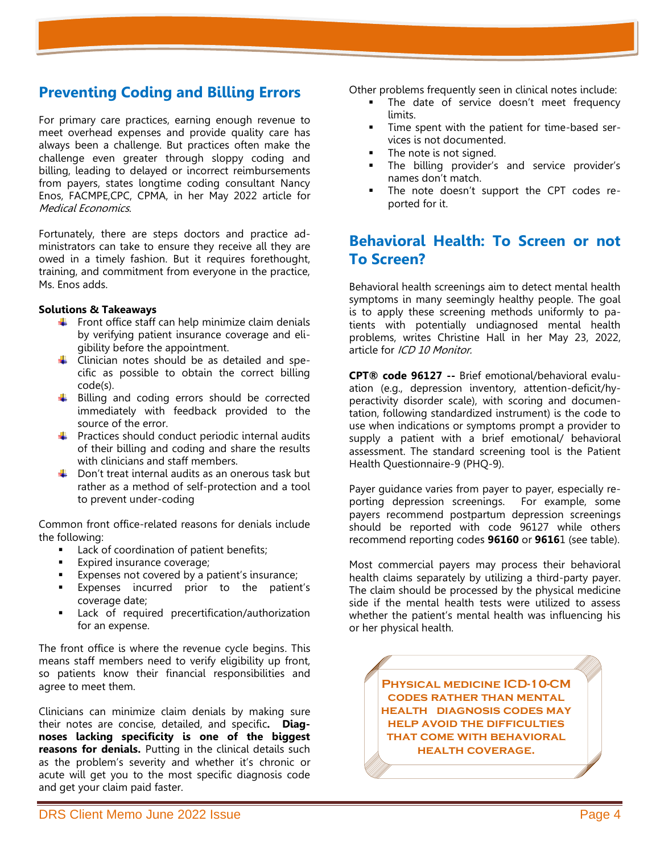### **Preventing Coding and Billing Errors**

For primary care practices, earning enough revenue to meet overhead expenses and provide quality care has always been a challenge. But practices often make the challenge even greater through sloppy coding and billing, leading to delayed or incorrect reimbursements from payers, states longtime coding consultant Nancy Enos, FACMPE,CPC, CPMA, in her May 2022 article for Medical Economics.

Fortunately, there are steps doctors and practice administrators can take to ensure they receive all they are owed in a timely fashion. But it requires forethought, training, and commitment from everyone in the practice, Ms. Enos adds.

#### **Solutions & Takeaways**

- $\frac{1}{\sqrt{2}}$  Front office staff can help minimize claim denials by verifying patient insurance coverage and eligibility before the appointment.
- $\downarrow$  Clinician notes should be as detailed and specific as possible to obtain the correct billing code(s).
- $\ddotplus$  Billing and coding errors should be corrected immediately with feedback provided to the source of the error.
- $\downarrow$  Practices should conduct periodic internal audits of their billing and coding and share the results with clinicians and staff members.
- $\downarrow$  Don't treat internal audits as an onerous task but rather as a method of self-protection and a tool to prevent under-coding

Common front office-related reasons for denials include the following:

- Lack of coordination of patient benefits;
- Expired insurance coverage;
- Expenses not covered by a patient's insurance;
- Expenses incurred prior to the patient's coverage date;
- Lack of required precertification/authorization for an expense.

The front office is where the revenue cycle begins. This means staff members need to verify eligibility up front, so patients know their financial responsibilities and agree to meet them.

Clinicians can minimize claim denials by making sure their notes are concise, detailed, and specific**. Diagnoses lacking specificity is one of the biggest reasons for denials.** Putting in the clinical details such as the problem's severity and whether it's chronic or acute will get you to the most specific diagnosis code and get your claim paid faster.

Other problems frequently seen in clinical notes include:

- The date of service doesn't meet frequency limits.
- Time spent with the patient for time-based services is not documented.
- The note is not signed.
- The billing provider's and service provider's names don't match.
- The note doesn't support the CPT codes reported for it.

# **[Behavioral Health: To Screen or not](https://icd10monitor.com/behavioral-health-to-screen-or-not-to-screen-2/)  [To Screen?](https://icd10monitor.com/behavioral-health-to-screen-or-not-to-screen-2/)**

Behavioral health screenings aim to detect mental health symptoms in many seemingly healthy people. The goal is to apply these screening methods uniformly to patients with potentially undiagnosed mental health problems, writes Christine Hall in her May 23, 2022, article for ICD 10 Monitor.

**CPT® code 96127 --** Brief emotional/behavioral evaluation (e.g., depression inventory, attention-deficit/hyperactivity disorder scale), with scoring and documentation, following standardized instrument) is the code to use when indications or symptoms prompt a provider to supply a patient with a brief emotional/ behavioral assessment. The standard screening tool is the Patient Health Questionnaire-9 (PHQ-9).

Payer guidance varies from payer to payer, especially reporting depression screenings. For example, some payers recommend postpartum depression screenings should be reported with code 96127 while others recommend reporting codes **96160** or **9616**1 (see table).

Most commercial payers may process their behavioral health claims separately by utilizing a third-party payer. The claim should be processed by the physical medicine side if the mental health tests were utilized to assess whether the patient's mental health was influencing his or her physical health.

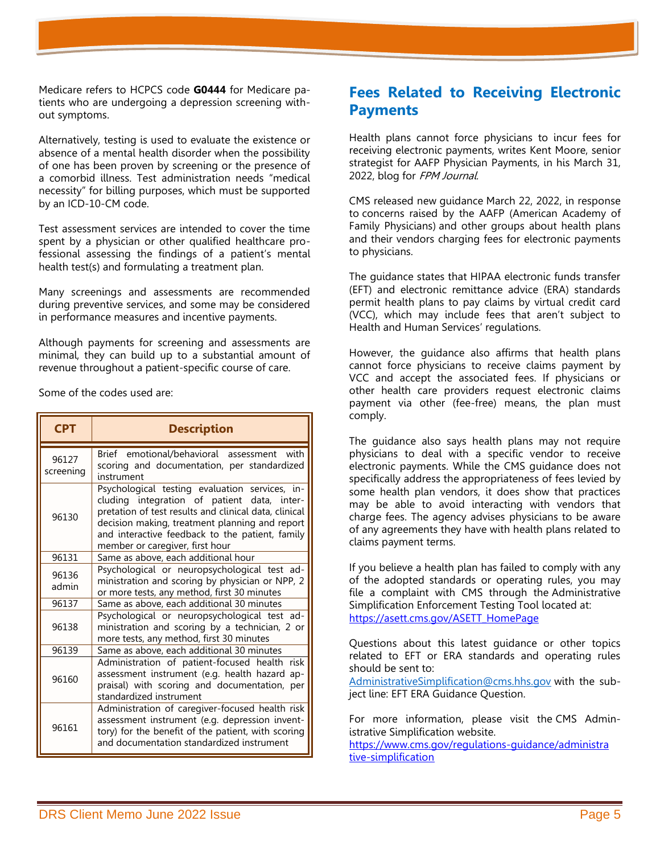Medicare refers to HCPCS code **G0444** for Medicare patients who are undergoing a depression screening without symptoms.

Alternatively, testing is used to evaluate the existence or absence of a mental health disorder when the possibility of one has been proven by screening or the presence of a comorbid illness. Test administration needs "medical necessity" for billing purposes, which must be supported by an ICD-10-CM code.

Test assessment services are intended to cover the time spent by a physician or other qualified healthcare professional assessing the findings of a patient's mental health test(s) and formulating a treatment plan.

Many screenings and assessments are recommended during preventive services, and some may be considered in performance measures and incentive payments.

Although payments for screening and assessments are minimal, they can build up to a substantial amount of revenue throughout a patient-specific course of care.

Some of the codes used are:

| <b>CPT</b>         | <b>Description</b>                                                                                                                                                                                                                                                                             |
|--------------------|------------------------------------------------------------------------------------------------------------------------------------------------------------------------------------------------------------------------------------------------------------------------------------------------|
| 96127<br>screening | Brief emotional/behavioral assessment<br>with<br>scoring and documentation, per standardized<br>instrument                                                                                                                                                                                     |
| 96130              | Psychological testing evaluation services, in-<br>cluding integration of patient data, inter-<br>pretation of test results and clinical data, clinical<br>decision making, treatment planning and report<br>and interactive feedback to the patient, family<br>member or caregiver, first hour |
| 96131              | Same as above, each additional hour                                                                                                                                                                                                                                                            |
| 96136<br>admin     | Psychological or neuropsychological test ad-<br>ministration and scoring by physician or NPP, 2<br>or more tests, any method, first 30 minutes                                                                                                                                                 |
| 96137              | Same as above, each additional 30 minutes                                                                                                                                                                                                                                                      |
| 96138              | Psychological or neuropsychological test ad-<br>ministration and scoring by a technician, 2 or<br>more tests, any method, first 30 minutes                                                                                                                                                     |
| 96139              | Same as above, each additional 30 minutes                                                                                                                                                                                                                                                      |
| 96160              | Administration of patient-focused health risk<br>assessment instrument (e.g. health hazard ap-<br>praisal) with scoring and documentation, per<br>standardized instrument                                                                                                                      |
| 96161              | Administration of caregiver-focused health risk<br>assessment instrument (e.g. depression invent-<br>tory) for the benefit of the patient, with scoring<br>and documentation standardized instrument                                                                                           |

### **Fees Related to Receiving Electronic Payments**

Health plans cannot force physicians to incur fees for receiving electronic payments, writes Kent Moore, senior strategist for AAFP Physician Payments, in his March 31, 2022, blog for FPM Journal.

CMS released new [guidance](https://www.cms.gov/files/document/guidance-letter-vcc-eft-era.pdf) March 22, 2022, in response to [concerns raised by the AAFP \(American Academy of](https://www.aafp.org/dam/AAFP/documents/advocacy/legal/administrative/LT-CMS-EFTFees-102221.pdf)  [Family Physicians\)](https://www.aafp.org/dam/AAFP/documents/advocacy/legal/administrative/LT-CMS-EFTFees-102221.pdf) and other groups about health plans and their vendors charging fees for electronic payments to physicians.

The guidance states that HIPAA electronic funds transfer (EFT) and electronic remittance advice (ERA) standards permit health plans to pay claims by virtual credit card (VCC), which may include fees that aren't subject to Health and Human Services' regulations.

However, the guidance also affirms that health plans cannot force physicians to receive claims payment by VCC and accept the associated fees. If physicians or other health care providers request electronic claims payment via other (fee-free) means, the plan must comply.

The guidance also says health plans may not require physicians to deal with a specific vendor to receive electronic payments. While the CMS guidance does not specifically address the appropriateness of fees levied by some health plan vendors, it does show that practices may be able to avoid interacting with vendors that charge fees. The agency advises physicians to be aware of any agreements they have with health plans related to claims payment terms.

If you believe a health plan has failed to comply with any of the adopted standards or operating rules, you may file a complaint with CMS through the [Administrative](https://asett.cms.gov/)  [Simplification Enforcement Testing Tool](https://asett.cms.gov/) located at: [https://asett.cms.gov/ASETT\\_HomePage](https://asett.cms.gov/ASETT_HomePage)

Questions about this latest guidance or other topics related to EFT or ERA standards and operating rules should be sent to:

[AdministrativeSimplification@cms.hhs.gov](mailto:AdministrativeSimplification@cms.hhs.gov) with the subject line: EFT ERA Guidance Question.

For more information, please visit the [CMS Admin](http://go.cms.gov/AdminSimp)[istrative Simplification website.](http://go.cms.gov/AdminSimp)

[https://www.cms.gov/regulations-guidance/administra](https://www.cms.gov/regulations-guidance/administra%20tive-simplification)  [tive-simplification](https://www.cms.gov/regulations-guidance/administra%20tive-simplification)